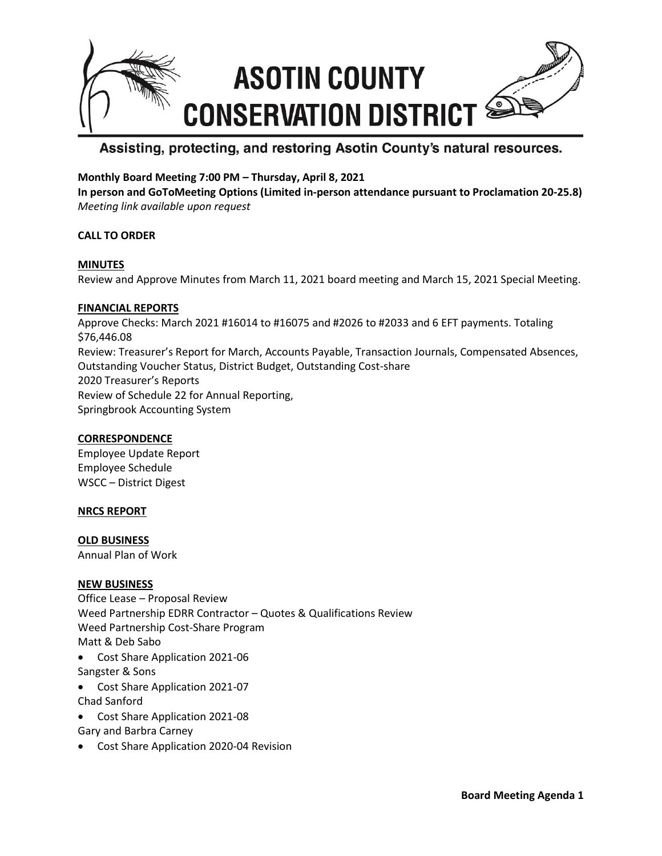

# Assisting, protecting, and restoring Asotin County's natural resources.

## **Monthly Board Meeting 7:00 PM – Thursday, April 8, 2021**

**In person and GoToMeeting Options (Limited in-person attendance pursuant to Proclamation 20-25.8)** *Meeting link available upon request*

## **CALL TO ORDER**

#### **MINUTES**

Review and Approve Minutes from March 11, 2021 board meeting and March 15, 2021 Special Meeting.

#### **FINANCIAL REPORTS**

Approve Checks: March 2021 #16014 to #16075 and #2026 to #2033 and 6 EFT payments. Totaling \$76,446.08 Review: Treasurer's Report for March, Accounts Payable, Transaction Journals, Compensated Absences, Outstanding Voucher Status, District Budget, Outstanding Cost-share 2020 Treasurer's Reports Review of Schedule 22 for Annual Reporting, Springbrook Accounting System

## **CORRESPONDENCE**

Employee Update Report Employee Schedule WSCC – District Digest

#### **NRCS REPORT**

**OLD BUSINESS** Annual Plan of Work

#### **NEW BUSINESS**

- Office Lease Proposal Review Weed Partnership EDRR Contractor – Quotes & Qualifications Review Weed Partnership Cost-Share Program Matt & Deb Sabo • Cost Share Application 2021-06
- Sangster & Sons
- Cost Share Application 2021-07 Chad Sanford
- Cost Share Application 2021-08
- Gary and Barbra Carney
- Cost Share Application 2020-04 Revision